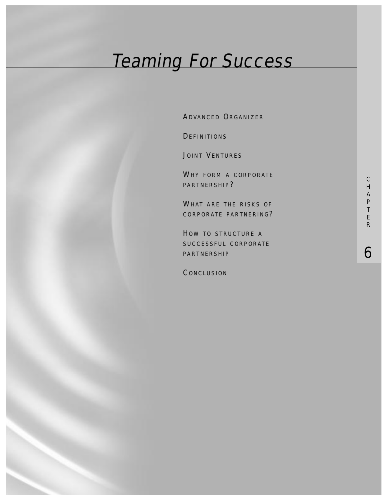# Teaming For Success

ADVANCED ORGANIZER

**DEFINITIONS** 

JOINT VENTURES

WHY FORM A CORPORATE PARTNERSHIP?

WHAT ARE THE RISKS OF CORPORATE PARTNERING?

HOW TO STRUCTURE A SUCCESSFUL CORPORATE PARTNERSHIP

**CONCLUSION** 

6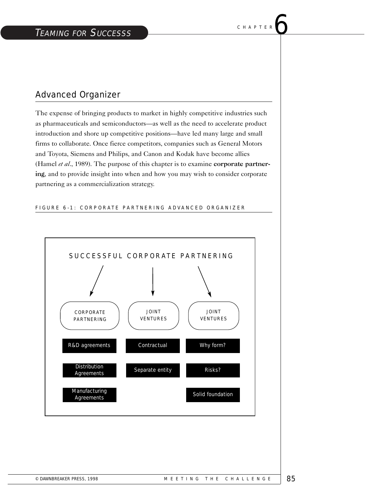# Advanced Organizer

The expense of bringing products to market in highly competitive industries such as pharmaceuticals and semiconductors—as well as the need to accelerate product introduction and shore up competitive positions—have led many large and small firms to collaborate. Once fierce competitors, companies such as General Motors and Toyota, Siemens and Philips, and Canon and Kodak have become allies (Hamel *et al*., 1989). The purpose of this chapter is to examine corporate partnering, and to provide insight into when and how you may wish to consider corporate partnering as a commercialization strategy.

#### FIGURE 6-1: CORPORATE PARTNERING ADVANCED ORGANIZER

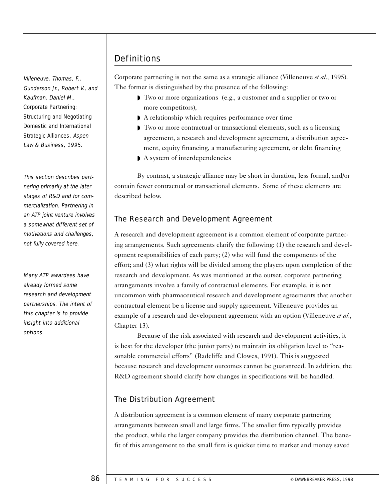Villeneuve, Thomas, F., Gunderson Jr., Robert V., and Kaufman, Daniel M., Corporate Partnering: Structuring and Negotiating Domestic and International Strategic Alliances. Aspen Law & Business, 1995.

This section describes partnering primarily at the later stages of R&D and for commercialization. Partnering in an ATP joint venture involves a somewhat different set of motivations and challenges, not fully covered here.

Many ATP awardees have already formed some research and development partnerships. The intent of this chapter is to provide insight into additional options.

# **Definitions**

Corporate partnering is not the same as a strategic alliance (Villeneuve *et al.,* 1995). The former is distinguished by the presence of the following:

- ◗ Two or more organizations (e.g., a customer and a supplier or two or more competitors),
- ◗ A relationship which requires performance over time
- ◗ Two or more contractual or transactional elements, such as a licensing agreement, a research and development agreement, a distribution agreement, equity financing, a manufacturing agreement, or debt financing
- ◗ A system of interdependencies

By contrast, a strategic alliance may be short in duration, less formal, and/or contain fewer contractual or transactional elements. Some of these elements are described below.

# The Research and Development Agreement

A research and development agreement is a common element of corporate partnering arrangements. Such agreements clarify the following: (1) the research and development responsibilities of each party; (2) who will fund the components of the effort; and (3) what rights will be divided among the players upon completion of the research and development. As was mentioned at the outset, corporate partnering arrangements involve a family of contractual elements. For example, it is not uncommon with pharmaceutical research and development agreements that another contractual element be a license and supply agreement. Villeneuve provides an example of a research and development agreement with an option (Villeneuve *et al.*, Chapter 13).

Because of the risk associated with research and development activities, it is best for the developer (the junior party) to maintain its obligation level to "reasonable commercial efforts" (Radcliffe and Clowes, 1991). This is suggested because research and development outcomes cannot be guaranteed. In addition, the R&D agreement should clarify how changes in specifications will be handled.

# The Distribution Agreement

A distribution agreement is a common element of many corporate partnering arrangements between small and large firms. The smaller firm typically provides the product, while the larger company provides the distribution channel. The benefit of this arrangement to the small firm is quicker time to market and money saved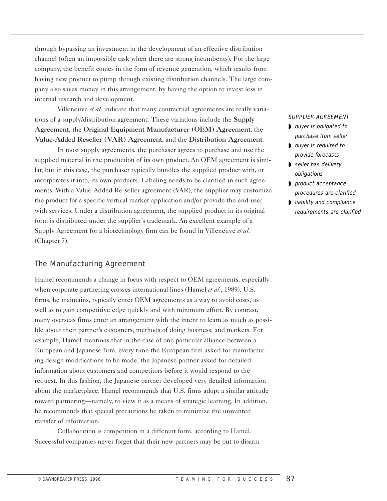through bypassing an investment in the development of an effective distribution channel (often an impossible task when there are strong incumbents). For the large company, the benefit comes in the form of revenue generation, which results from having new product to pump through existing distribution channels. The large company also saves money in this arrangement, by having the option to invest less in internal research and development.

Villeneuve *et al.* indicate that many contractual agreements are really variations of a supply/distribution agreement. These variations include the Supply Agreement, the Original Equipment Manufacturer (OEM) Agreement, the Value-Added Reseller (VAR) Agreement, and the Distribution Agreement.

In most supply agreements, the purchaser agrees to purchase and use the supplied material in the production of its own product. An OEM agreement is similar, but in this case, the purchaser typically bundles the supplied product with, or incorporates it into, its own products. Labeling needs to be clarified in such agreements. With a Value-Added Re-seller agreement (VAR), the supplier may customize the product for a specific vertical market application and/or provide the end-user with services. Under a distribution agreement, the supplied product in its original form is distributed under the supplier's trademark. An excellent example of a Supply Agreement for a biotechnology firm can be found in Villeneuve *et al*. (Chapter 7).

## The Manufacturing Agreement

Hamel recommends a change in focus with respect to OEM agreements, especially when corporate partnering crosses international lines (Hamel *et al.*, 1989). U.S. firms, he maintains, typically enter OEM agreements as a way to avoid costs, as well as to gain competitive edge quickly and with minimum effort. By contrast, many overseas firms enter an arrangement with the intent to learn as much as possible about their partner's customers, methods of doing business, and markets. For example, Hamel mentions that in the case of one particular alliance between a European and Japanese firm, every time the European firm asked for manufacturing design modifications to be made, the Japanese partner asked for detailed information about customers and competitors before it would respond to the request. In this fashion, the Japanese partner developed very detailed information about the marketplace. Hamel recommends that U.S. firms adopt a similar attitude toward partnering—namely, to view it as a means of strategic learning. In addition, he recommends that special precautions be taken to minimize the unwanted transfer of information.

Collaboration is competition in a different form, according to Hamel. Successful companies never forget that their new partners may be out to disarm

#### SUPPLIER AGREEMENT

- buyer is obligated to purchase from seller
- ◗ buyer is required to provide forecasts
- ◗ seller has delivery obligations
- ◗ product acceptance procedures are clarified
- ◗ liability and compliance requirements are clarified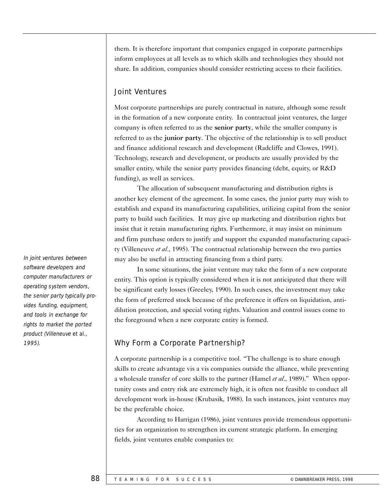them. It is therefore important that companies engaged in corporate partnerships inform employees at all levels as to which skills and technologies they should not share. In addition, companies should consider restricting access to their facilities.

## Joint Ventures

Most corporate partnerships are purely contractual in nature, although some result in the formation of a new corporate entity. In contractual joint ventures, the larger company is often referred to as the senior party, while the smaller company is referred to as the junior party. The objective of the relationship is to sell product and finance additional research and development (Radcliffe and Clowes, 1991). Technology, research and development, or products are usually provided by the smaller entity, while the senior party provides financing (debt, equity, or R&D funding), as well as services.

The allocation of subsequent manufacturing and distribution rights is another key element of the agreement. In some cases, the junior party may wish to establish and expand its manufacturing capabilities, utilizing capital from the senior party to build such facilities. It may give up marketing and distribution rights but insist that it retain manufacturing rights. Furthermore, it may insist on minimum and firm purchase orders to justify and support the expanded manufacturing capacity (Villeneuve *et al.*, 1995). The contractual relationship between the two parties may also be useful in attracting financing from a third party.

In some situations, the joint venture may take the form of a new corporate entity. This option is typically considered when it is not anticipated that there will be significant early losses (Greeley, 1990). In such cases, the investment may take the form of preferred stock because of the preference it offers on liquidation, antidilution protection, and special voting rights. Valuation and control issues come to the foreground when a new corporate entity is formed.

## 1995). Why Form a Corporate Partnership?

A corporate partnership is a competitive tool. "The challenge is to share enough skills to create advantage vis a vis companies outside the alliance, while preventing a wholesale transfer of core skills to the partner (Hamel *et al*., 1989)." When opportunity costs and entry risk are extremely high, it is often not feasible to conduct all development work in-house (Krubasik, 1988). In such instances, joint ventures may be the preferable choice.

According to Harrigan (1986), joint ventures provide tremendous opportunities for an organization to strengthen its current strategic platform. In emerging fields, joint ventures enable companies to:

In joint ventures between software developers and computer manufacturers or operating system vendors, the senior party typically provides funding, equipment, and tools in exchange for rights to market the ported product (Villeneuve et al.,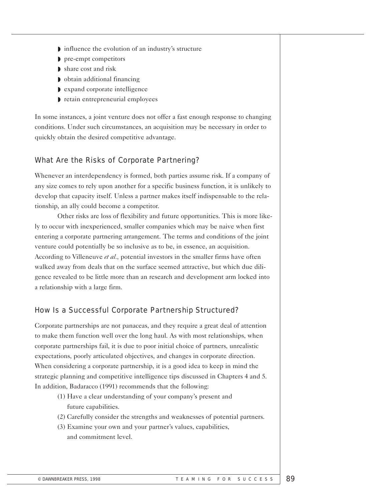- ◗ influence the evolution of an industry's structure
- ◗ pre-empt competitors
- ◗ share cost and risk
- ◗ obtain additional financing
- ◗ expand corporate intelligence
- ◗ retain entrepreneurial employees

In some instances, a joint venture does not offer a fast enough response to changing conditions. Under such circumstances, an acquisition may be necessary in order to quickly obtain the desired competitive advantage.

## What Are the Risks of Corporate Partnering?

Whenever an interdependency is formed, both parties assume risk. If a company of any size comes to rely upon another for a specific business function, it is unlikely to develop that capacity itself. Unless a partner makes itself indispensable to the relationship, an ally could become a competitor.

Other risks are loss of flexibility and future opportunities. This is more likely to occur with inexperienced, smaller companies which may be naive when first entering a corporate partnering arrangement. The terms and conditions of the joint venture could potentially be so inclusive as to be, in essence, an acquisition. According to Villeneuve *et al.,* potential investors in the smaller firms have often walked away from deals that on the surface seemed attractive, but which due diligence revealed to be little more than an research and development arm locked into a relationship with a large firm.

## How Is a Successful Corporate Partnership Structured?

Corporate partnerships are not panaceas, and they require a great deal of attention to make them function well over the long haul. As with most relationships, when corporate partnerships fail, it is due to poor initial choice of partners, unrealistic expectations, poorly articulated objectives, and changes in corporate direction. When considering a corporate partnership, it is a good idea to keep in mind the strategic planning and competitive intelligence tips discussed in Chapters 4 and 5. In addition, Badaracco (1991) recommends that the following:

- (1) Have a clear understanding of your company's present and future capabilities.
- (2) Carefully consider the strengths and weaknesses of potential partners.
- (3) Examine your own and your partner's values, capabilities, and commitment level.